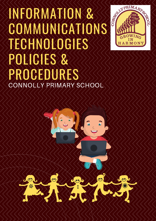# INFORMATION & COMMUNICATIONS TECHNOLOGIES POLICIES & PROCEDURES CONNOLLY PRIMARY SCHOOL



CONTROLLARING

OWING IN **HARMONY**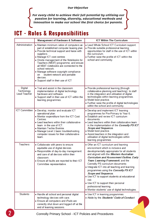#### **Our Objective**

{ **For every child to achieve their full potential by utilising our passion for learning, diversity, educational methods and innovation to make our school the first choice for parents.** }<br><br><br><br><br><br><br><br><br><br><br><br>

### **ICT - Roles & Responsibilities**

|                                                     | Management of Hardware & Software                                                                                                                                                                                                                                                                                                                                                                                                                                       | <b>ICT Within The Curriculum</b>                                                                                                                                                                                                                                                                                                                                                                                                                                                                                                                                                                  |
|-----------------------------------------------------|-------------------------------------------------------------------------------------------------------------------------------------------------------------------------------------------------------------------------------------------------------------------------------------------------------------------------------------------------------------------------------------------------------------------------------------------------------------------------|---------------------------------------------------------------------------------------------------------------------------------------------------------------------------------------------------------------------------------------------------------------------------------------------------------------------------------------------------------------------------------------------------------------------------------------------------------------------------------------------------------------------------------------------------------------------------------------------------|
| Administration                                      | • Maintain minimum ratios of computers as<br>part of established computer leasing plan.<br>. Provide technical support and liaise with<br>suppliers.<br>• Manage ICT cost centres<br>. Onsite management of the Notebooks for<br>Teachers (NB4T) programme, and ensure<br>all NB4T notebooks are connected to the<br>school network.<br>• Manage software copyright compliance<br>student network and portable<br>on<br>devices.<br>• Support staff in their use of ICT | . Lead Whole School ICT Curriculum support.<br>• Provide suitable professional learning<br>opportunities for staff in the use of ICT within<br>the curriculum.<br>• Further raise the profile of ICT within the<br>school and community.                                                                                                                                                                                                                                                                                                                                                          |
| <b>Digital</b><br>Technology<br><b>Lead Teacher</b> | • Trial and assist in the classroom<br>implementation of digital technology<br>hardware and software.<br>• Support staff in their use of ICT within the<br>learning programmes.                                                                                                                                                                                                                                                                                         | • Provide professional learning (through<br>collaborative planning and teaching) to staff<br>in the integration and utilisation of digital<br>technologies within learning programmes.<br>• Model best practice.<br>• Further raise the profile of digital technologies<br>within the school and community.                                                                                                                                                                                                                                                                                       |
| <b>ICT Committee</b>                                | · Develop, monitor and evaluate ICT<br>operational plan.<br>• Monitor expenditure from the ICT Cost<br>Centres.<br>• Lead teachers within their collaborative<br>team in the use of ICT.<br>• Maintain Techie Brekkie.<br>• Manage Level 1 basic troubleshooting<br>computer issues for their collaborative<br>team.                                                                                                                                                    | • Develop and implement ICT learning<br>programmes for Pre-Primary to Year 6.<br>• Establish and review ICT curriculum<br>documents.<br>• Lead teachers within their collaborative team<br>in the implementation of the Connolly PS ICT<br>Scope and Sequence.<br>• Model best practice.<br>• Assist teachers in the integration and<br>utilisation of digital technologies within<br>learning programmes.                                                                                                                                                                                        |
| Teachers                                            | • Collaborate with peers to ensure<br>equitable use of digital devices.<br>• Responsible of day-to-day management<br>and care of all devices within their<br>classroom.<br>. Ensure all faults are reported to their ICT<br>Committee representative.                                                                                                                                                                                                                   | • Offer an ICT curriculum and learning<br>environment which is inclusive and<br>developmentally appropriate for all students<br>and aligned with the Western Australian<br>Curriculum and Assessment Outline, Early<br>Years Learning Framework, and the<br>Connolly PS curriculum documents<br>. Integrate ICT into all teaching and learning<br>programmes using the Connolly PS ICT<br><b>Scope and Sequence.</b><br>• Use ICT to support students at educational<br>risk<br>• Use ICT to support their personal<br>professional learning.<br>· Monitor students' use of digital technologies. |
| <b>Students</b>                                     | • Handle all school and personal digital<br>technology devices with care.<br>• Ensure all computers and iPads are<br>correctly shut down and logged off at the<br>end of learning sessions.                                                                                                                                                                                                                                                                             | • Use ICT in learning programmes.<br>. Abide by the Students' Code of Conduct.                                                                                                                                                                                                                                                                                                                                                                                                                                                                                                                    |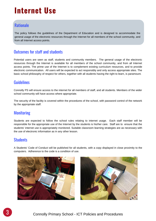### **Internet Use**

#### **Rationale**

The policy follows the guidelines of the Department of Education and is designed to accommodate the general usage of the electronic resources through the Internet for all members of the school community, and from all Internet access points.

#### Outcomes for staff and students

Potential users are seen as staff, students and community members. The general usage of the electronic resources through the Internet is available for all members of the school community, and from all Internet access points. The prime use of the Internet is to complement existing curriculum resources, and to provide electronic communication. All users will be expected to act responsibly and only access appropriate sites. The basic school philosophy of respect for others, together with all students having the right to learn, is paramount.

#### Guidelines

Connolly PS will ensure access to the internet for all members of staff, and all students. Members of the wider school community will have access where appropriate.

The security of the facility is covered within the procedures of the school, with password control of the network by the appropriate staff.

#### **Monitoring**

Students are expected to follow the school rules relating to internet usage. Each staff member will be responsible for the appropriate use of the Internet by the students is his/her care. Staff are to ensure that the students' internet use is appropriately monitored. Suitable classroom learning strategies are as necessary with the use of electronic information as in any other lesson.

#### **Students**

A Students' Code of Conduct will be published for all students, with a copy displayed in close proximity to the computers. Adherence to the code is a condition of use.



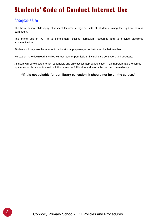### **Students' Code of Conduct Internet Use**

#### Acceptable Use

The basic school philosophy of respect for others, together with all students having the right to learn is paramount.

The prime use of ICT is to complement existing curriculum resources and to provide electronic communication.

Students will only use the internet for educational purposes, or as instructed by their teacher.

No student is to download any files without teacher permission - including screensavers and desktops.

All users will be expected to act responsibly and only access appropriate sites. If an inappropriate site comes up inadvertently, students must click the monitor on/off button and inform the teacher immediately.

#### **"If it is not suitable for our library collection, it should not be on the screen."**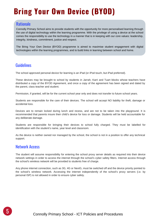## **Bring Your Own Device (BYOD)**

#### **Rationale**

Connolly Primary School aims to provide students with the opportunity for more personalised learning through the use of digital technology within the learning programme. With the privilege of using a device at the school comes the responsibility to use the technology in a manner that is in keeping with our core values: leadership, integrity, kindness, commitment, justice and respect.

The Bring Your Own Device (BYOD) programme is aimed to maximise student engagement with digital technologies within the learning programmes, and to build links in learning between school and home.

#### Guidelines

The school approved personal device for learning is an iPad (or iPod touch, but iPad preferred).

These devices may be brought to school by students in Jarrah, Karri and Tuart blocks whose teachers have distributed a copy of the BYOD Agreement, and once a copy of the agreement has been signed and dated by the parent, class teacher and student.

Permission, if granted, will be for the current school year only and does not transfer to future school years.

Students are responsible for the care of their devices. The school will accept NO liability for theft, damage or accidental loss.

Devices are to remain locked during lunch and recess, and are not to be taken into the playground. It is recommended that parents insure their child's device for loss or damage. Students will be held accountable for any deliberate damage.

Students are responsible for bringing their devices to school fully charged. They must be labelled for identification with the student's name, year level and classroom.

As the device is neither owned nor managed by the school, the school is not in a position to offer any technical support.

#### Network Access

The student will assume responsibility for entering the school proxy server details as required into their device network settings in order to access the internet through the school's cyber safety filters. Internet access through the school's wireless network will be provided to students free of charge.

Any phone internet connection, such as 3G, 4G or NextG, must be switched off and the device priority pointed to the school's wireless network. Accessing the internet independently of the school's proxy servers (i.e. by personal ISP) is not allowed in order to ensure cyber safety.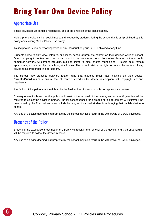### **Bring Your Own Device Policy**

#### Appropriate Use

These devices must be used responsibly and at the direction of the class teacher.

Mobile phone voice calling, social media and text use by students during the school day is still prohibited by this policy and existing Mobile Phone Use policy.

Taking photos, video or recording voice of any individual or group is NOT allowed at any time.

Students agree to only view, listen to, or access, school appropriate content on their devices while at school. Due to copyright, content such as music is not to be transferred to or from other devices or the school's computer network. All content including, but not limited to, files, photos, videos and music must remain appropriate, as deemed by the school, at all times. The school retains the right to review the content of any device registered under this agreement.

The school may prescribe software and/or apps that students must have installed on their device. **Parents/Guardians** must ensure that all content stored on the device is compliant with copyright law and regulations.

The School Principal retains the right to be the final arbiter of what is, and is not, appropriate content.

Consequences for breach of this policy will result in the removal of the device, and a parent/ guardian will be required to collect the device in person. Further consequences for a breach of this agreement will ultimately be determined by the Principal and may include banning an individual student from bringing their mobile device to school.

Any use of a device deemed inappropriate by the school may also result in the withdrawal of BYOD privileges.

#### Breaches of the Policy

Breaching the expectations outlined in this policy will result in the removal of the device, and a parent/guardian will be required to collect the device in person.

Any use of a device deemed inappropriate by the school may also result in the withdrawal of BYOD privileges.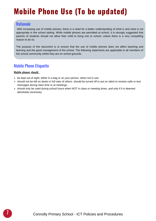## **Mobile Phone Use (To be updated)**

#### **Rationale**

With increasing use of mobile phones, there is a need for a better understanding of what is and what is not appropriate in the school setting. While mobile phones are permitted at school, it is strongly suggested that parents of students should not allow their child to bring one to school, unless there is a very compelling reason to do so.

The purpose of this document is to ensure that the use of mobile phones does not affect teaching and learning and the good management of the school. The following statements are applicable to all members of the school community whilst they are on school grounds.

#### Mobile Phone Etiquette

#### Mobile phones should…

- be kept out of sight, either in a bag or on your person, when not in use.
- should not be left on desks in full view of others. should be turned off or put on silent to receive calls or text messages during class time or at meetings.
- should only be used during school hours when NOT in class or meeting times, and only if it is deemed absolutely necessary.